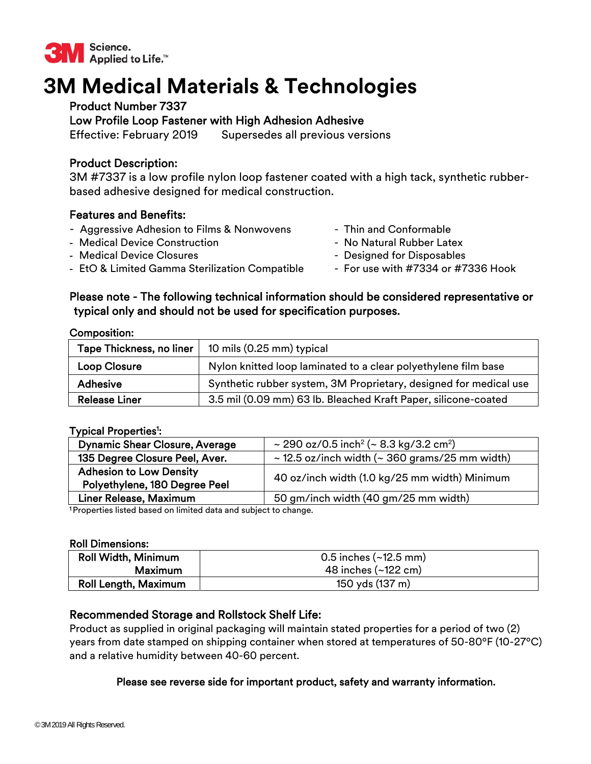

# **3M Medical Materials & Technologies**

# Product Number 7337

Low Profile Loop Fastener with High Adhesion Adhesive

Effective: February 2019 Supersedes all previous versions

# Product Description:

3M #7337 is a low profile nylon loop fastener coated with a high tack, synthetic rubberbased adhesive designed for medical construction.

# Features and Benefits:

- Aggressive Adhesion to Films & Nonwovens Thin and Conformable
- Medical Device Construction  **No Natural Rubber Latex**
- Medical Device Closures **Access 20 and Access 20 and Access** Designed for Disposables
- **-** EtO & Limited Gamma Sterilization Compatible For use with #7334 or #7336 Hook
- 
- 
- -

## Please note - The following technical information should be considered representative or typical only and should not be used for specification purposes.

Composition:

| Tape Thickness, no liner | 10 mils (0.25 mm) typical                                         |  |
|--------------------------|-------------------------------------------------------------------|--|
| <b>Loop Closure</b>      | Nylon knitted loop laminated to a clear polyethylene film base    |  |
| <b>Adhesive</b>          | Synthetic rubber system, 3M Proprietary, designed for medical use |  |
| <b>Release Liner</b>     | 3.5 mil (0.09 mm) 63 lb. Bleached Kraft Paper, silicone-coated    |  |

#### Typical Properties<sup>ı</sup>:

| <b>Dynamic Shear Closure, Average</b> | ~ 290 oz/0.5 inch <sup>2</sup> (~ 8.3 kg/3.2 cm <sup>2</sup> ) |  |
|---------------------------------------|----------------------------------------------------------------|--|
| 135 Degree Closure Peel, Aver.        | $\sim$ 12.5 oz/inch width ( $\sim$ 360 grams/25 mm width)      |  |
| <b>Adhesion to Low Density</b>        | 40 oz/inch width (1.0 kg/25 mm width) Minimum                  |  |
| Polyethylene, 180 Degree Peel         |                                                                |  |
| Liner Release, Maximum                | 50 gm/inch width (40 gm/25 mm width)                           |  |
| .                                     |                                                                |  |

<sup>1</sup>Properties listed based on limited data and subject to change.

#### Roll Dimensions:

| Roll Width, Minimum         | $0.5$ inches $(-12.5$ mm)     |
|-----------------------------|-------------------------------|
| Maximum                     | 48 inches $(-122 \text{ cm})$ |
| <b>Roll Length, Maximum</b> | 150 yds (137 m)               |

# Recommended Storage and Rollstock Shelf Life:

Product as supplied in original packaging will maintain stated properties for a period of two (2) years from date stamped on shipping container when stored at temperatures of 50-80ºF (10-27ºC) and a relative humidity between 40-60 percent.

## Please see reverse side for important product, safety and warranty information.